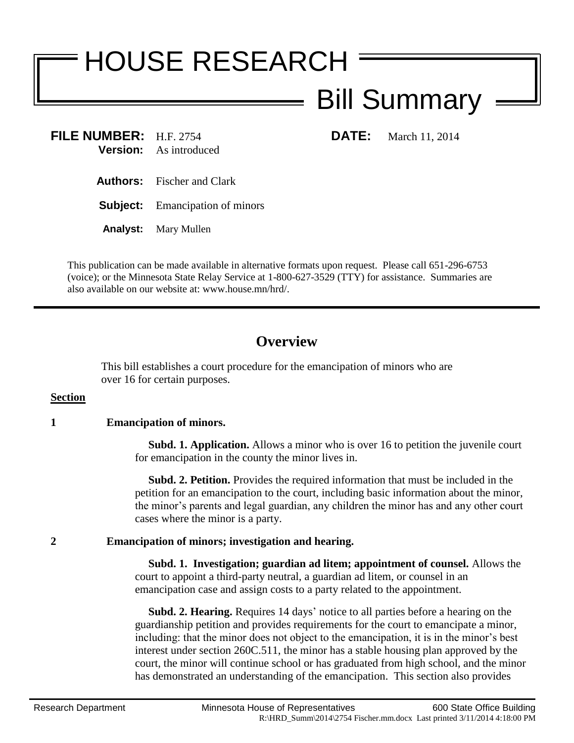# HOUSE RESEARCH

## Bill Summary

**FILE NUMBER:** H.F. 2754 **DATE:** March 11, 2014 **Version:** As introduced

**Authors:** Fischer and Clark

**Subject:** Emancipation of minors

**Analyst:** Mary Mullen

This publication can be made available in alternative formats upon request. Please call 651-296-6753 (voice); or the Minnesota State Relay Service at 1-800-627-3529 (TTY) for assistance. Summaries are also available on our website at: www.house.mn/hrd/.

### **Overview**

This bill establishes a court procedure for the emancipation of minors who are over 16 for certain purposes.

#### **Section**

#### **1 Emancipation of minors.**

 **Subd. 1. Application.** Allows a minor who is over 16 to petition the juvenile court for emancipation in the county the minor lives in.

 **Subd. 2. Petition.** Provides the required information that must be included in the petition for an emancipation to the court, including basic information about the minor, the minor's parents and legal guardian, any children the minor has and any other court cases where the minor is a party.

#### **2 Emancipation of minors; investigation and hearing.**

 **Subd. 1. Investigation; guardian ad litem; appointment of counsel.** Allows the court to appoint a third-party neutral, a guardian ad litem, or counsel in an emancipation case and assign costs to a party related to the appointment.

 **Subd. 2. Hearing.** Requires 14 days' notice to all parties before a hearing on the guardianship petition and provides requirements for the court to emancipate a minor, including: that the minor does not object to the emancipation, it is in the minor's best interest under section 260C.511, the minor has a stable housing plan approved by the court, the minor will continue school or has graduated from high school, and the minor has demonstrated an understanding of the emancipation. This section also provides